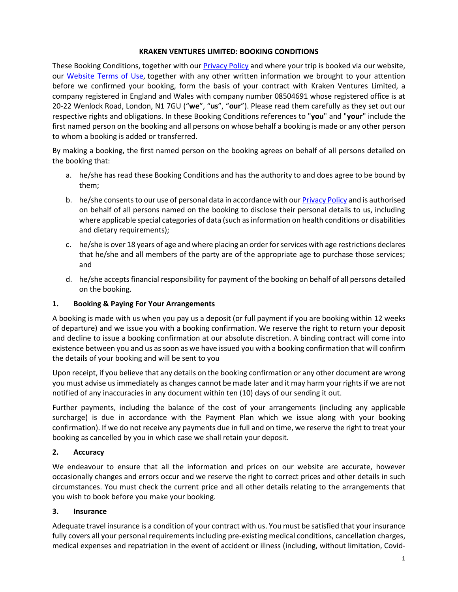#### **KRAKEN VENTURES LIMITED: BOOKING CONDITIONS**

These Booking Conditions, together with our [Privacy Policy](https://kraken.travel/privacy/) and where your trip is booked via our website, our [Website Terms of Use,](https://kraken.travel/terms-of-use/) together with any other written information we brought to your attention before we confirmed your booking, form the basis of your contract with Kraken Ventures Limited, a company registered in England and Wales with company number 08504691 whose registered office is at 20-22 Wenlock Road, London, N1 7GU ("**we**", "**us**", "**our**"). Please read them carefully as they set out our respective rights and obligations. In these Booking Conditions references to "**you**" and "**your**" include the first named person on the booking and all persons on whose behalf a booking is made or any other person to whom a booking is added or transferred.

By making a booking, the first named person on the booking agrees on behalf of all persons detailed on the booking that:

- a. he/she has read these Booking Conditions and has the authority to and does agree to be bound by them;
- b. he/she consents to our use of personal data in accordance with ou[r Privacy Policy](https://kraken.travel/privacy/) and is authorised on behalf of all persons named on the booking to disclose their personal details to us, including where applicable special categories of data (such as information on health conditions or disabilities and dietary requirements);
- c. he/she is over 18 years of age and where placing an order for services with age restrictions declares that he/she and all members of the party are of the appropriate age to purchase those services; and
- d. he/she accepts financial responsibility for payment of the booking on behalf of all persons detailed on the booking.

### **1. Booking & Paying For Your Arrangements**

A booking is made with us when you pay us a deposit (or full payment if you are booking within 12 weeks of departure) and we issue you with a booking confirmation. We reserve the right to return your deposit and decline to issue a booking confirmation at our absolute discretion. A binding contract will come into existence between you and us as soon as we have issued you with a booking confirmation that will confirm the details of your booking and will be sent to you

Upon receipt, if you believe that any details on the booking confirmation or any other document are wrong you must advise us immediately as changes cannot be made later and it may harm your rights if we are not notified of any inaccuracies in any document within ten (10) days of our sending it out.

Further payments, including the balance of the cost of your arrangements (including any applicable surcharge) is due in accordance with the Payment Plan which we issue along with your booking confirmation). If we do not receive any payments due in full and on time, we reserve the right to treat your booking as cancelled by you in which case we shall retain your deposit.

### **2. Accuracy**

We endeavour to ensure that all the information and prices on our website are accurate, however occasionally changes and errors occur and we reserve the right to correct prices and other details in such circumstances. You must check the current price and all other details relating to the arrangements that you wish to book before you make your booking.

### **3. Insurance**

Adequate travel insurance is a condition of your contract with us. You must be satisfied that your insurance fully covers all your personal requirements including pre-existing medical conditions, cancellation charges, medical expenses and repatriation in the event of accident or illness (including, without limitation, Covid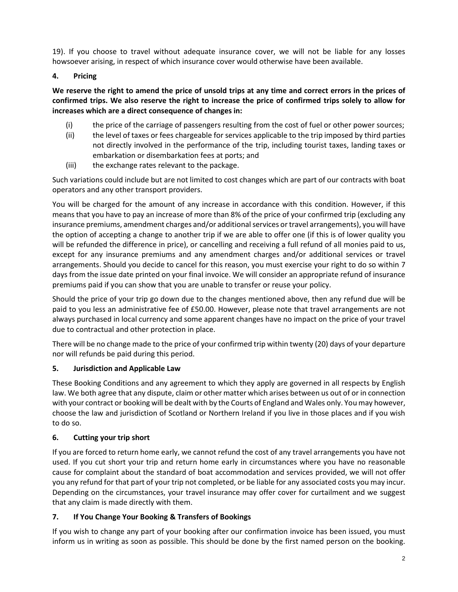19). If you choose to travel without adequate insurance cover, we will not be liable for any losses howsoever arising, in respect of which insurance cover would otherwise have been available.

## **4. Pricing**

**We reserve the right to amend the price of unsold trips at any time and correct errors in the prices of confirmed trips. We also reserve the right to increase the price of confirmed trips solely to allow for increases which are a direct consequence of changes in:**

- (i) the price of the carriage of passengers resulting from the cost of fuel or other power sources;
- (ii) the level of taxes or fees chargeable for services applicable to the trip imposed by third parties not directly involved in the performance of the trip, including tourist taxes, landing taxes or embarkation or disembarkation fees at ports; and
- (iii) the exchange rates relevant to the package.

Such variations could include but are not limited to cost changes which are part of our contracts with boat operators and any other transport providers.

You will be charged for the amount of any increase in accordance with this condition. However, if this means that you have to pay an increase of more than 8% of the price of your confirmed trip (excluding any insurance premiums, amendment charges and/or additional services or travel arrangements), you will have the option of accepting a change to another trip if we are able to offer one (if this is of lower quality you will be refunded the difference in price), or cancelling and receiving a full refund of all monies paid to us, except for any insurance premiums and any amendment charges and/or additional services or travel arrangements. Should you decide to cancel for this reason, you must exercise your right to do so within 7 days from the issue date printed on your final invoice. We will consider an appropriate refund of insurance premiums paid if you can show that you are unable to transfer or reuse your policy.

Should the price of your trip go down due to the changes mentioned above, then any refund due will be paid to you less an administrative fee of £50.00. However, please note that travel arrangements are not always purchased in local currency and some apparent changes have no impact on the price of your travel due to contractual and other protection in place.

There will be no change made to the price of your confirmed trip within twenty (20) days of your departure nor will refunds be paid during this period.

# **5. Jurisdiction and Applicable Law**

These Booking Conditions and any agreement to which they apply are governed in all respects by English law. We both agree that any dispute, claim or other matter which arises between us out of or in connection with your contract or booking will be dealt with by the Courts of England and Wales only. You may however, choose the law and jurisdiction of Scotland or Northern Ireland if you live in those places and if you wish to do so.

# **6. Cutting your trip short**

If you are forced to return home early, we cannot refund the cost of any travel arrangements you have not used. If you cut short your trip and return home early in circumstances where you have no reasonable cause for complaint about the standard of boat accommodation and services provided, we will not offer you any refund for that part of your trip not completed, or be liable for any associated costs you may incur. Depending on the circumstances, your travel insurance may offer cover for curtailment and we suggest that any claim is made directly with them.

### **7. If You Change Your Booking & Transfers of Bookings**

If you wish to change any part of your booking after our confirmation invoice has been issued, you must inform us in writing as soon as possible. This should be done by the first named person on the booking.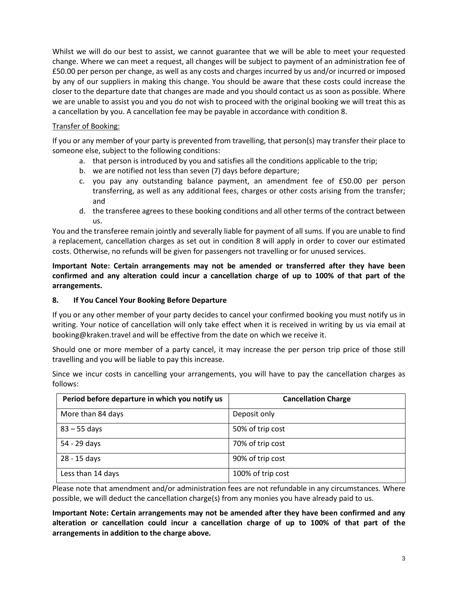Whilst we will do our best to assist, we cannot guarantee that we will be able to meet your requested change. Where we can meet a request, all changes will be subject to payment of an administration fee of £50.00 per person per change, as well as any costs and charges incurred by us and/or incurred or imposed by any of our suppliers in making this change. You should be aware that these costs could increase the closer to the departure date that changes are made and you should contact us as soon as possible. Where we are unable to assist you and you do not wish to proceed with the original booking we will treat this as a cancellation by you. A cancellation fee may be payable in accordance with condition [8.](#page-2-0)

#### Transfer of Booking:

If you or any member of your party is prevented from travelling, that person(s) may transfer their place to someone else, subject to the following conditions:

- a. that person is introduced by you and satisfies all the conditions applicable to the trip;
- b. we are notified not less than seven (7) days before departure;
- c. you pay any outstanding balance payment, an amendment fee of £50.00 per person transferring, as well as any additional fees, charges or other costs arising from the transfer; and
- d. the transferee agrees to these booking conditions and all other terms of the contract between us.

You and the transferee remain jointly and severally liable for payment of all sums. If you are unable to find a replacement, cancellation charges as set out in condition [8](#page-2-0) will apply in order to cover our estimated costs. Otherwise, no refunds will be given for passengers not travelling or for unused services.

**Important Note: Certain arrangements may not be amended or transferred after they have been confirmed and any alteration could incur a cancellation charge of up to 100% of that part of the arrangements.** 

#### <span id="page-2-0"></span>**8. If You Cancel Your Booking Before Departure**

If you or any other member of your party decides to cancel your confirmed booking you must notify us in writing. Your notice of cancellation will only take effect when it is received in writing by us via email at booking@kraken.travel and will be effective from the date on which we receive it.

Should one or more member of a party cancel, it may increase the per person trip price of those still travelling and you will be liable to pay this increase.

Since we incur costs in cancelling your arrangements, you will have to pay the cancellation charges as follows:

| Period before departure in which you notify us | <b>Cancellation Charge</b> |
|------------------------------------------------|----------------------------|
| More than 84 days                              | Deposit only               |
| $83 - 55$ days                                 | 50% of trip cost           |
| 54 - 29 days                                   | 70% of trip cost           |
| 28 - 15 days                                   | 90% of trip cost           |
| Less than 14 days                              | 100% of trip cost          |

Please note that amendment and/or administration fees are not refundable in any circumstances. Where possible, we will deduct the cancellation charge(s) from any monies you have already paid to us.

**Important Note: Certain arrangements may not be amended after they have been confirmed and any alteration or cancellation could incur a cancellation charge of up to 100% of that part of the arrangements in addition to the charge above.**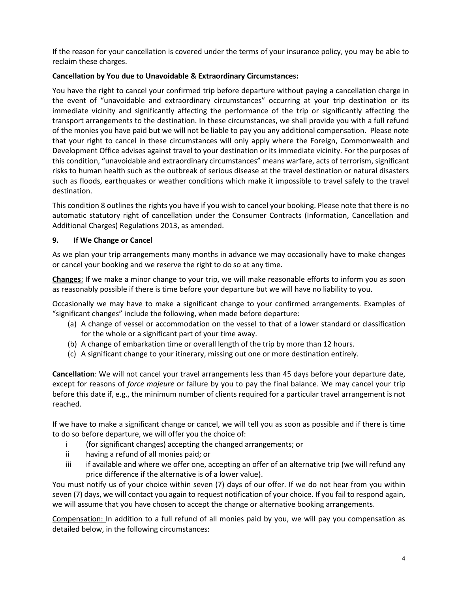If the reason for your cancellation is covered under the terms of your insurance policy, you may be able to reclaim these charges.

## **Cancellation by You due to Unavoidable & Extraordinary Circumstances:**

You have the right to cancel your confirmed trip before departure without paying a cancellation charge in the event of "unavoidable and extraordinary circumstances" occurring at your trip destination or its immediate vicinity and significantly affecting the performance of the trip or significantly affecting the transport arrangements to the destination. In these circumstances, we shall provide you with a full refund of the monies you have paid but we will not be liable to pay you any additional compensation. Please note that your right to cancel in these circumstances will only apply where the Foreign, Commonwealth and Development Office advises against travel to your destination or its immediate vicinity. For the purposes of this condition, "unavoidable and extraordinary circumstances" means warfare, acts of terrorism, significant risks to human health such as the outbreak of serious disease at the travel destination or natural disasters such as floods, earthquakes or weather conditions which make it impossible to travel safely to the travel destination.

This condition [8](#page-2-0) outlines the rights you have if you wish to cancel your booking. Please note that there is no automatic statutory right of cancellation under the Consumer Contracts (Information, Cancellation and Additional Charges) Regulations 2013, as amended.

## **9. If We Change or Cancel**

As we plan your trip arrangements many months in advance we may occasionally have to make changes or cancel your booking and we reserve the right to do so at any time.

**Changes**: If we make a minor change to your trip, we will make reasonable efforts to inform you as soon as reasonably possible if there is time before your departure but we will have no liability to you.

Occasionally we may have to make a significant change to your confirmed arrangements. Examples of "significant changes" include the following, when made before departure:

- (a) A change of vessel or accommodation on the vessel to that of a lower standard or classification for the whole or a significant part of your time away.
- (b) A change of embarkation time or overall length of the trip by more than 12 hours.
- (c) A significant change to your itinerary, missing out one or more destination entirely.

**Cancellation**: We will not cancel your travel arrangements less than 45 days before your departure date, except for reasons of *force majeure* or failure by you to pay the final balance. We may cancel your trip before this date if, e.g., the minimum number of clients required for a particular travel arrangement is not reached.

If we have to make a significant change or cancel, we will tell you as soon as possible and if there is time to do so before departure, we will offer you the choice of:

- i (for significant changes) accepting the changed arrangements; or
- ii having a refund of all monies paid; or
- iii if available and where we offer one, accepting an offer of an alternative trip (we will refund any price difference if the alternative is of a lower value).

You must notify us of your choice within seven (7) days of our offer. If we do not hear from you within seven (7) days, we will contact you again to request notification of your choice. If you fail to respond again, we will assume that you have chosen to accept the change or alternative booking arrangements.

Compensation: In addition to a full refund of all monies paid by you, we will pay you compensation as detailed below, in the following circumstances: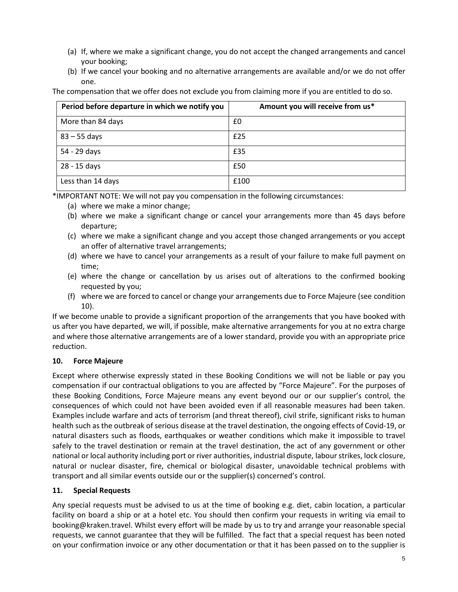- (a) If, where we make a significant change, you do not accept the changed arrangements and cancel your booking;
- (b) If we cancel your booking and no alternative arrangements are available and/or we do not offer one.

The compensation that we offer does not exclude you from claiming more if you are entitled to do so.

| Period before departure in which we notify you | Amount you will receive from us* |
|------------------------------------------------|----------------------------------|
| More than 84 days                              | £0                               |
| $83 - 55$ days                                 | £25                              |
| 54 - 29 days                                   | £35                              |
| 28 - 15 days                                   | £50                              |
| Less than 14 days                              | £100                             |

\*IMPORTANT NOTE: We will not pay you compensation in the following circumstances:

- (a) where we make a minor change;
- (b) where we make a significant change or cancel your arrangements more than 45 days before departure;
- (c) where we make a significant change and you accept those changed arrangements or you accept an offer of alternative travel arrangements;
- (d) where we have to cancel your arrangements as a result of your failure to make full payment on time;
- (e) where the change or cancellation by us arises out of alterations to the confirmed booking requested by you;
- (f) where we are forced to cancel or change your arrangements due to Force Majeure (see condition [10\)](#page-4-0).

If we become unable to provide a significant proportion of the arrangements that you have booked with us after you have departed, we will, if possible, make alternative arrangements for you at no extra charge and where those alternative arrangements are of a lower standard, provide you with an appropriate price reduction.

#### <span id="page-4-0"></span>**10. Force Majeure**

Except where otherwise expressly stated in these Booking Conditions we will not be liable or pay you compensation if our contractual obligations to you are affected by "Force Majeure". For the purposes of these Booking Conditions, Force Majeure means any event beyond our or our supplier's control, the consequences of which could not have been avoided even if all reasonable measures had been taken. Examples include warfare and acts of terrorism (and threat thereof), civil strife, significant risks to human health such as the outbreak of serious disease at the travel destination, the ongoing effects of Covid-19, or natural disasters such as floods, earthquakes or weather conditions which make it impossible to travel safely to the travel destination or remain at the travel destination, the act of any government or other national or local authority including port or river authorities, industrial dispute, labour strikes, lock closure, natural or nuclear disaster, fire, chemical or biological disaster, unavoidable technical problems with transport and all similar events outside our or the supplier(s) concerned's control.

### **11. Special Requests**

Any special requests must be advised to us at the time of booking e.g. diet, cabin location, a particular facility on board a ship or at a hotel etc. You should then confirm your requests in writing via email to booking@kraken.travel. Whilst every effort will be made by us to try and arrange your reasonable special requests, we cannot guarantee that they will be fulfilled. The fact that a special request has been noted on your confirmation invoice or any other documentation or that it has been passed on to the supplier is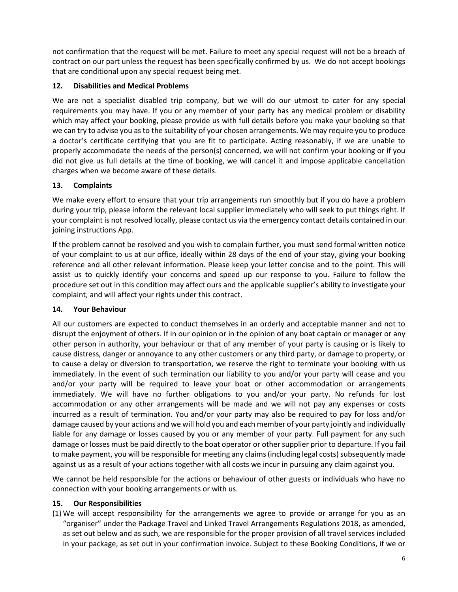not confirmation that the request will be met. Failure to meet any special request will not be a breach of contract on our part unless the request has been specifically confirmed by us. We do not accept bookings that are conditional upon any special request being met.

### **12. Disabilities and Medical Problems**

We are not a specialist disabled trip company, but we will do our utmost to cater for any special requirements you may have. If you or any member of your party has any medical problem or disability which may affect your booking, please provide us with full details before you make your booking so that we can try to advise you as to the suitability of your chosen arrangements. We may require you to produce a doctor's certificate certifying that you are fit to participate. Acting reasonably, if we are unable to properly accommodate the needs of the person(s) concerned, we will not confirm your booking or if you did not give us full details at the time of booking, we will cancel it and impose applicable cancellation charges when we become aware of these details.

## **13. Complaints**

We make every effort to ensure that your trip arrangements run smoothly but if you do have a problem during your trip, please inform the relevant local supplier immediately who will seek to put things right. If your complaint is not resolved locally, please contact us via the emergency contact details contained in our joining instructions App.

If the problem cannot be resolved and you wish to complain further, you must send formal written notice of your complaint to us at our office, ideally within 28 days of the end of your stay, giving your booking reference and all other relevant information. Please keep your letter concise and to the point. This will assist us to quickly identify your concerns and speed up our response to you. Failure to follow the procedure set out in this condition may affect ours and the applicable supplier's ability to investigate your complaint, and will affect your rights under this contract.

# **14. Your Behaviour**

All our customers are expected to conduct themselves in an orderly and acceptable manner and not to disrupt the enjoyment of others. If in our opinion or in the opinion of any boat captain or manager or any other person in authority, your behaviour or that of any member of your party is causing or is likely to cause distress, danger or annoyance to any other customers or any third party, or damage to property, or to cause a delay or diversion to transportation, we reserve the right to terminate your booking with us immediately. In the event of such termination our liability to you and/or your party will cease and you and/or your party will be required to leave your boat or other accommodation or arrangements immediately. We will have no further obligations to you and/or your party. No refunds for lost accommodation or any other arrangements will be made and we will not pay any expenses or costs incurred as a result of termination. You and/or your party may also be required to pay for loss and/or damage caused by your actions and we will hold you and each member of your party jointly and individually liable for any damage or losses caused by you or any member of your party. Full payment for any such damage or losses must be paid directly to the boat operator or other supplier prior to departure. If you fail to make payment, you will be responsible for meeting any claims (including legal costs) subsequently made against us as a result of your actions together with all costs we incur in pursuing any claim against you.

We cannot be held responsible for the actions or behaviour of other guests or individuals who have no connection with your booking arrangements or with us.

# **15. Our Responsibilities**

(1) We will accept responsibility for the arrangements we agree to provide or arrange for you as an "organiser" under the Package Travel and Linked Travel Arrangements Regulations 2018, as amended, as set out below and as such, we are responsible for the proper provision of all travel services included in your package, as set out in your confirmation invoice. Subject to these Booking Conditions, if we or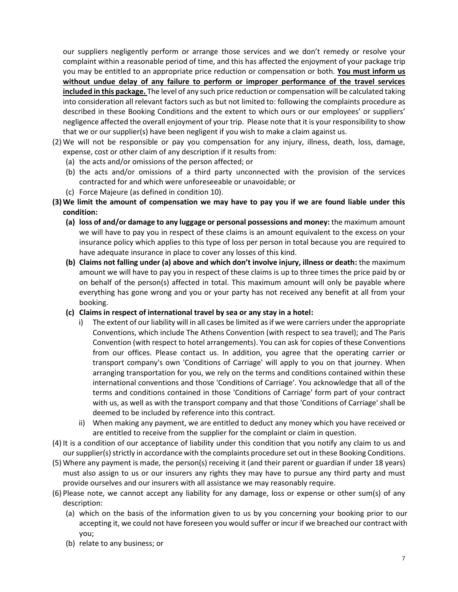our suppliers negligently perform or arrange those services and we don't remedy or resolve your complaint within a reasonable period of time, and this has affected the enjoyment of your package trip you may be entitled to an appropriate price reduction or compensation or both. **You must inform us without undue delay of any failure to perform or improper performance of the travel services included in this package.** The level of any such price reduction or compensation will be calculated taking into consideration all relevant factors such as but not limited to: following the complaints procedure as described in these Booking Conditions and the extent to which ours or our employees' or suppliers' negligence affected the overall enjoyment of your trip. Please note that it is your responsibility to show that we or our supplier(s) have been negligent if you wish to make a claim against us.

- (2) We will not be responsible or pay you compensation for any injury, illness, death, loss, damage, expense, cost or other claim of any description if it results from:
	- (a) the acts and/or omissions of the person affected; or
	- (b) the acts and/or omissions of a third party unconnected with the provision of the services contracted for and which were unforeseeable or unavoidable; or
	- (c) Force Majeure (as defined in condition [10\)](#page-4-0).
- **(3)We limit the amount of compensation we may have to pay you if we are found liable under this condition:**
	- **(a) loss of and/or damage to any luggage or personal possessions and money:** the maximum amount we will have to pay you in respect of these claims is an amount equivalent to the excess on your insurance policy which applies to this type of loss per person in total because you are required to have adequate insurance in place to cover any losses of this kind.
	- **(b) Claims not falling under (a) above and which don't involve injury, illness or death:** the maximum amount we will have to pay you in respect of these claims is up to three times the price paid by or on behalf of the person(s) affected in total. This maximum amount will only be payable where everything has gone wrong and you or your party has not received any benefit at all from your booking.
	- **(c) Claims in respect of international travel by sea or any stay in a hotel:**
		- i) The extent of our liability will in all cases be limited as if we were carriers under the appropriate Conventions, which include The Athens Convention (with respect to sea travel); and The Paris Convention (with respect to hotel arrangements). You can ask for copies of these Conventions from our offices. Please contact us. In addition, you agree that the operating carrier or transport company's own 'Conditions of Carriage' will apply to you on that journey. When arranging transportation for you, we rely on the terms and conditions contained within these international conventions and those 'Conditions of Carriage'. You acknowledge that all of the terms and conditions contained in those 'Conditions of Carriage' form part of your contract with us, as well as with the transport company and that those 'Conditions of Carriage' shall be deemed to be included by reference into this contract.
		- ii) When making any payment, we are entitled to deduct any money which you have received or are entitled to receive from the supplier for the complaint or claim in question.
- (4) It is a condition of our acceptance of liability under this condition that you notify any claim to us and our supplier(s) strictly in accordance with the complaints procedure set out in these Booking Conditions.
- (5) Where any payment is made, the person(s) receiving it (and their parent or guardian if under 18 years) must also assign to us or our insurers any rights they may have to pursue any third party and must provide ourselves and our insurers with all assistance we may reasonably require.
- (6) Please note, we cannot accept any liability for any damage, loss or expense or other sum(s) of any description:
	- (a) which on the basis of the information given to us by you concerning your booking prior to our accepting it, we could not have foreseen you would suffer or incur if we breached our contract with you;
	- (b) relate to any business; or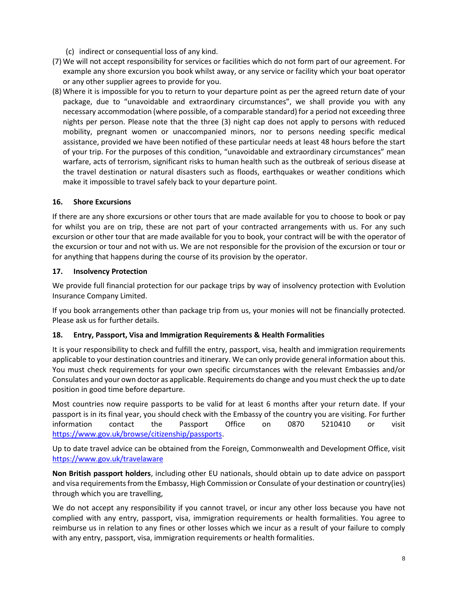(c) indirect or consequential loss of any kind.

- (7) We will not accept responsibility for services or facilities which do not form part of our agreement. For example any shore excursion you book whilst away, or any service or facility which your boat operator or any other supplier agrees to provide for you.
- (8) Where it is impossible for you to return to your departure point as per the agreed return date of your package, due to "unavoidable and extraordinary circumstances", we shall provide you with any necessary accommodation (where possible, of a comparable standard) for a period not exceeding three nights per person. Please note that the three (3) night cap does not apply to persons with reduced mobility, pregnant women or unaccompanied minors, nor to persons needing specific medical assistance, provided we have been notified of these particular needs at least 48 hours before the start of your trip. For the purposes of this condition, "unavoidable and extraordinary circumstances" mean warfare, acts of terrorism, significant risks to human health such as the outbreak of serious disease at the travel destination or natural disasters such as floods, earthquakes or weather conditions which make it impossible to travel safely back to your departure point.

#### **16. Shore Excursions**

If there are any shore excursions or other tours that are made available for you to choose to book or pay for whilst you are on trip, these are not part of your contracted arrangements with us. For any such excursion or other tour that are made available for you to book, your contract will be with the operator of the excursion or tour and not with us. We are not responsible for the provision of the excursion or tour or for anything that happens during the course of its provision by the operator.

#### **17. Insolvency Protection**

We provide full financial protection for our package trips by way of insolvency protection with Evolution Insurance Company Limited.

If you book arrangements other than package trip from us, your monies will not be financially protected. Please ask us for further details.

#### **18. Entry, Passport, Visa and Immigration Requirements & Health Formalities**

It is your responsibility to check and fulfill the entry, passport, visa, health and immigration requirements applicable to your destination countries and itinerary. We can only provide general information about this. You must check requirements for your own specific circumstances with the relevant Embassies and/or Consulates and your own doctor as applicable. Requirements do change and you must check the up to date position in good time before departure.

Most countries now require passports to be valid for at least 6 months after your return date. If your passport is in its final year, you should check with the Embassy of the country you are visiting. For further information contact the Passport Office on 0870 5210410 or visit [https://www.gov.uk/browse/citizenship/passports.](https://www.gov.uk/browse/citizenship/passports)

Up to date travel advice can be obtained from the Foreign, Commonwealth and Development Office, visit <https://www.gov.uk/travelaware>

**Non British passport holders**, including other EU nationals, should obtain up to date advice on passport and visa requirements from the Embassy, High Commission or Consulate of your destination or country(ies) through which you are travelling,

We do not accept any responsibility if you cannot travel, or incur any other loss because you have not complied with any entry, passport, visa, immigration requirements or health formalities. You agree to reimburse us in relation to any fines or other losses which we incur as a result of your failure to comply with any entry, passport, visa, immigration requirements or health formalities.